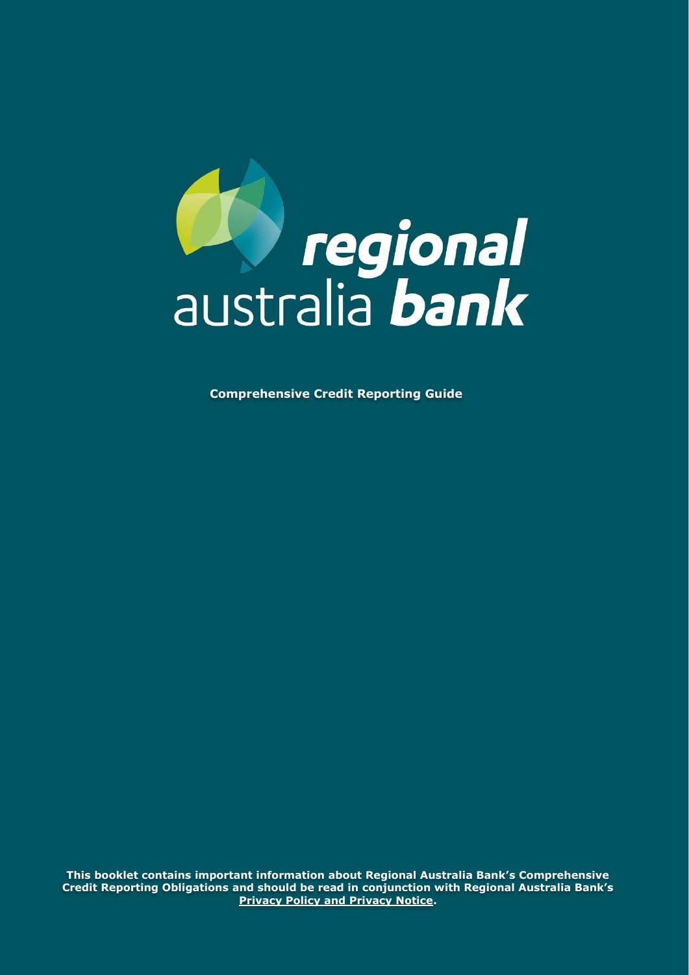

**Comprehensive Credit Reporting Guide**

**This booklet contains important information about Regional Australia Bank's Comprehensive Credit Reporting Obligations and should be read in conjunction with Regional Australia Bank's [Privacy Policy and Privacy Notice.](https://www.regionalaustraliabank.com.au/about-us/corporate-documents/policies-and-guides)**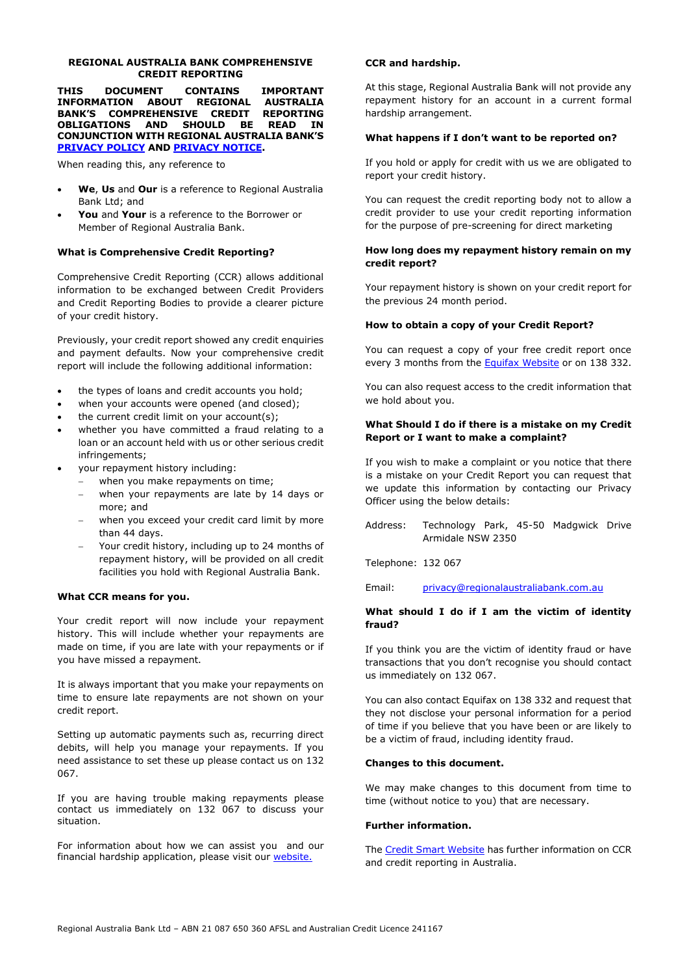#### **REGIONAL AUSTRALIA BANK COMPREHENSIVE CREDIT REPORTING**

**THIS DOCUMENT CONTAINS IMPORTANT INFORMATION ABOUT REGIONAL AUSTRALIA BANK'S COMPREHENSIVE CREDIT REPORTING OBLIGATIONS AND SHOULD BE READ IN CONJUNCTION WITH REGIONAL AUSTRALIA BANK'S [PRIVACY POLICY](https://www.regionalaustraliabank.com.au/about-us/corporate-documents/policies-and-guides) AND [PRIVACY NOTICE.](https://www.regionalaustraliabank.com.au/about-us/corporate-documents/policies-and-guides)**

When reading this, any reference to

- **We**, **Us** and **Our** is a reference to Regional Australia Bank Ltd; and
- **You** and **Your** is a reference to the Borrower or Member of Regional Australia Bank.

## **What is Comprehensive Credit Reporting?**

Comprehensive Credit Reporting (CCR) allows additional information to be exchanged between Credit Providers and Credit Reporting Bodies to provide a clearer picture of your credit history.

Previously, your credit report showed any credit enquiries and payment defaults. Now your comprehensive credit report will include the following additional information:

- the types of loans and credit accounts you hold;
- when your accounts were opened (and closed);
- the current credit limit on your account(s);
- whether you have committed a fraud relating to a loan or an account held with us or other serious credit infringements;
- your repayment history including:
	- when you make repayments on time;
	- when your repayments are late by 14 days or more; and
	- when you exceed your credit card limit by more than 44 days.
	- Your credit history, including up to 24 months of repayment history, will be provided on all credit facilities you hold with Regional Australia Bank.

## **What CCR means for you.**

Your credit report will now include your repayment history. This will include whether your repayments are made on time, if you are late with your repayments or if you have missed a repayment.

It is always important that you make your repayments on time to ensure late repayments are not shown on your credit report.

Setting up automatic payments such as, recurring direct debits, will help you manage your repayments. If you need assistance to set these up please contact us on 132 067.

If you are having trouble making repayments please contact us immediately on 132 067 to discuss your situation.

For information about how we can assist you and our financial hardship application, please visit our [website.](http://www.regionalaustraliabank.com.au/personal/support/hardship-assistance.)

## **CCR and hardship.**

At this stage, Regional Australia Bank will not provide any repayment history for an account in a current formal hardship arrangement.

### **What happens if I don't want to be reported on?**

If you hold or apply for credit with us we are obligated to report your credit history.

You can request the credit reporting body not to allow a credit provider to use your credit reporting information for the purpose of pre-screening for direct marketing

## **How long does my repayment history remain on my credit report?**

Your repayment history is shown on your credit report for the previous 24 month period.

#### **How to obtain a copy of your Credit Report?**

You can request a copy of your free credit report once every 3 months from the **[Equifax Website](file:///C:/Users/davis.k/AppData/Local/Microsoft/Windows/INetCache/Content.Outlook/G8OE59SX/www.equifax.com.au)** or on 138 332.

You can also request access to the credit information that we hold about you.

## **What Should I do if there is a mistake on my Credit Report or I want to make a complaint?**

If you wish to make a complaint or you notice that there is a mistake on your Credit Report you can request that we update this information by contacting our Privacy Officer using the below details:

Address: Technology Park, 45-50 Madgwick Drive Armidale NSW 2350

Telephone: 132 067

Email: [privacy@regionalaustraliabank.com.au](mailto:privacy@regionalaustraliabank.com.au)

## **What should I do if I am the victim of identity fraud?**

If you think you are the victim of identity fraud or have transactions that you don't recognise you should contact us immediately on 132 067.

You can also contact Equifax on 138 332 and request that they not disclose your personal information for a period of time if you believe that you have been or are likely to be a victim of fraud, including identity fraud.

#### **Changes to this document.**

We may make changes to this document from time to time (without notice to you) that are necessary.

#### **Further information.**

The [Credit Smart Website](https://www.creditsmart.org.au/learn-about-credit/comprehensive-credit-reporting/) has further information on CCR and credit reporting in Australia.